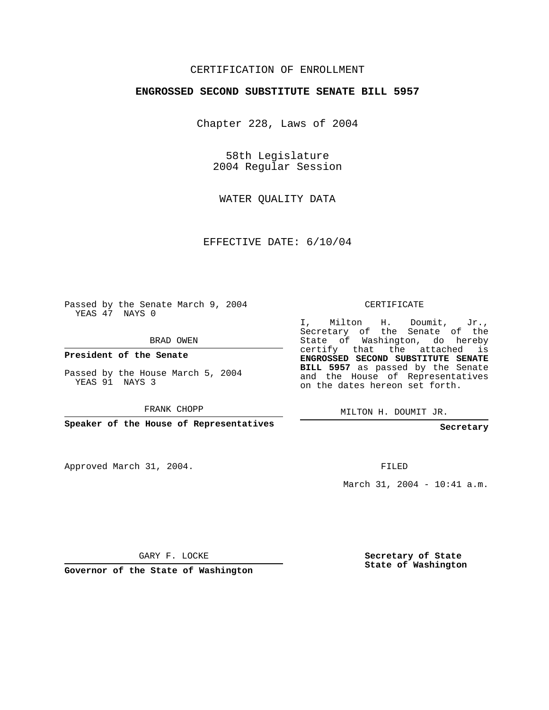## CERTIFICATION OF ENROLLMENT

## **ENGROSSED SECOND SUBSTITUTE SENATE BILL 5957**

Chapter 228, Laws of 2004

58th Legislature 2004 Regular Session

WATER QUALITY DATA

EFFECTIVE DATE: 6/10/04

Passed by the Senate March 9, 2004 YEAS 47 NAYS 0

BRAD OWEN

**President of the Senate**

Passed by the House March 5, 2004 YEAS 91 NAYS 3

FRANK CHOPP

**Speaker of the House of Representatives**

Approved March 31, 2004.

CERTIFICATE

I, Milton H. Doumit, Jr., Secretary of the Senate of the State of Washington, do hereby certify that the attached is **ENGROSSED SECOND SUBSTITUTE SENATE BILL 5957** as passed by the Senate and the House of Representatives on the dates hereon set forth.

MILTON H. DOUMIT JR.

**Secretary**

FILED

March 31, 2004 - 10:41 a.m.

GARY F. LOCKE

**Governor of the State of Washington**

**Secretary of State State of Washington**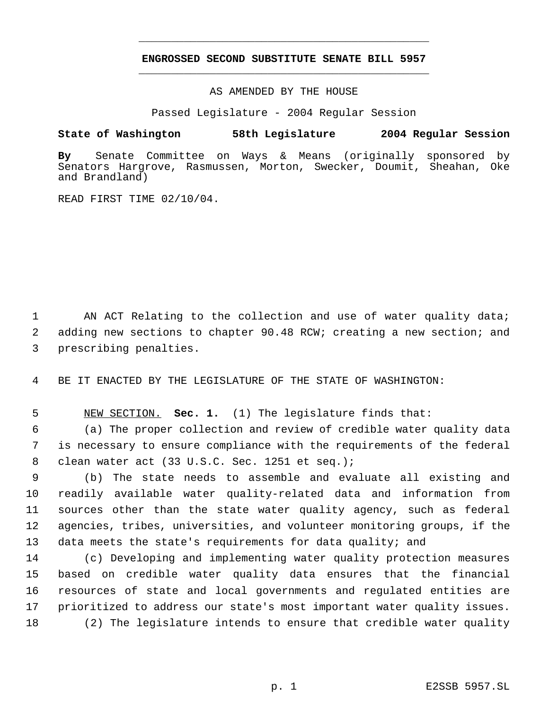## **ENGROSSED SECOND SUBSTITUTE SENATE BILL 5957** \_\_\_\_\_\_\_\_\_\_\_\_\_\_\_\_\_\_\_\_\_\_\_\_\_\_\_\_\_\_\_\_\_\_\_\_\_\_\_\_\_\_\_\_\_

\_\_\_\_\_\_\_\_\_\_\_\_\_\_\_\_\_\_\_\_\_\_\_\_\_\_\_\_\_\_\_\_\_\_\_\_\_\_\_\_\_\_\_\_\_

AS AMENDED BY THE HOUSE

Passed Legislature - 2004 Regular Session

## **State of Washington 58th Legislature 2004 Regular Session**

**By** Senate Committee on Ways & Means (originally sponsored by Senators Hargrove, Rasmussen, Morton, Swecker, Doumit, Sheahan, Oke and Brandland)

READ FIRST TIME 02/10/04.

1 AN ACT Relating to the collection and use of water quality data; 2 adding new sections to chapter 90.48 RCW; creating a new section; and 3 prescribing penalties.

4 BE IT ENACTED BY THE LEGISLATURE OF THE STATE OF WASHINGTON:

5 NEW SECTION. **Sec. 1.** (1) The legislature finds that:

 6 (a) The proper collection and review of credible water quality data 7 is necessary to ensure compliance with the requirements of the federal 8 clean water act (33 U.S.C. Sec. 1251 et seq.);

 (b) The state needs to assemble and evaluate all existing and readily available water quality-related data and information from sources other than the state water quality agency, such as federal agencies, tribes, universities, and volunteer monitoring groups, if the data meets the state's requirements for data quality; and

 (c) Developing and implementing water quality protection measures based on credible water quality data ensures that the financial resources of state and local governments and regulated entities are prioritized to address our state's most important water quality issues. (2) The legislature intends to ensure that credible water quality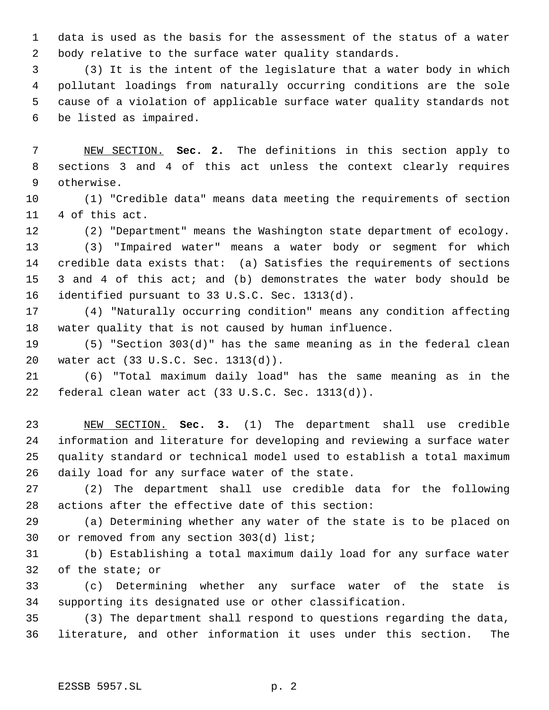data is used as the basis for the assessment of the status of a water body relative to the surface water quality standards.

 (3) It is the intent of the legislature that a water body in which pollutant loadings from naturally occurring conditions are the sole cause of a violation of applicable surface water quality standards not be listed as impaired.

 NEW SECTION. **Sec. 2.** The definitions in this section apply to sections 3 and 4 of this act unless the context clearly requires otherwise.

 (1) "Credible data" means data meeting the requirements of section 4 of this act.

(2) "Department" means the Washington state department of ecology.

 (3) "Impaired water" means a water body or segment for which credible data exists that: (a) Satisfies the requirements of sections 3 and 4 of this act; and (b) demonstrates the water body should be identified pursuant to 33 U.S.C. Sec. 1313(d).

 (4) "Naturally occurring condition" means any condition affecting water quality that is not caused by human influence.

 (5) "Section 303(d)" has the same meaning as in the federal clean water act (33 U.S.C. Sec. 1313(d)).

 (6) "Total maximum daily load" has the same meaning as in the federal clean water act (33 U.S.C. Sec. 1313(d)).

 NEW SECTION. **Sec. 3.** (1) The department shall use credible information and literature for developing and reviewing a surface water quality standard or technical model used to establish a total maximum daily load for any surface water of the state.

 (2) The department shall use credible data for the following actions after the effective date of this section:

 (a) Determining whether any water of the state is to be placed on or removed from any section 303(d) list;

 (b) Establishing a total maximum daily load for any surface water of the state; or

 (c) Determining whether any surface water of the state is supporting its designated use or other classification.

 (3) The department shall respond to questions regarding the data, literature, and other information it uses under this section. The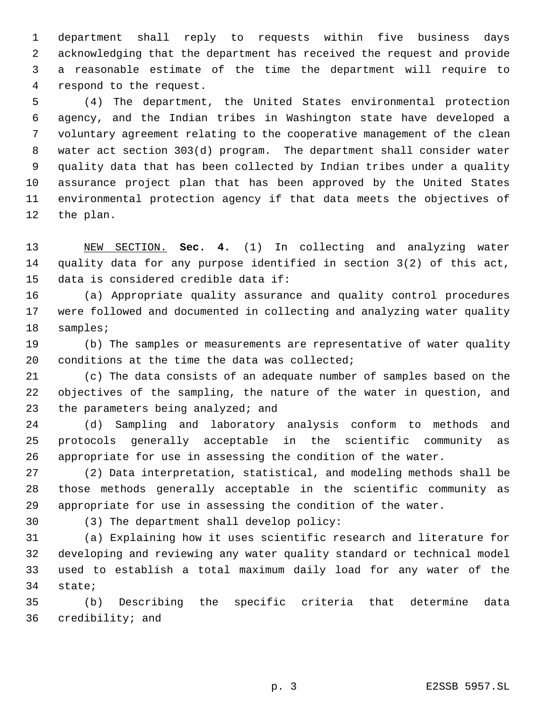department shall reply to requests within five business days acknowledging that the department has received the request and provide a reasonable estimate of the time the department will require to respond to the request.

 (4) The department, the United States environmental protection agency, and the Indian tribes in Washington state have developed a voluntary agreement relating to the cooperative management of the clean water act section 303(d) program. The department shall consider water quality data that has been collected by Indian tribes under a quality assurance project plan that has been approved by the United States environmental protection agency if that data meets the objectives of the plan.

 NEW SECTION. **Sec. 4.** (1) In collecting and analyzing water quality data for any purpose identified in section 3(2) of this act, data is considered credible data if:

 (a) Appropriate quality assurance and quality control procedures were followed and documented in collecting and analyzing water quality samples;

 (b) The samples or measurements are representative of water quality conditions at the time the data was collected;

 (c) The data consists of an adequate number of samples based on the objectives of the sampling, the nature of the water in question, and 23 the parameters being analyzed; and

 (d) Sampling and laboratory analysis conform to methods and protocols generally acceptable in the scientific community as appropriate for use in assessing the condition of the water.

 (2) Data interpretation, statistical, and modeling methods shall be those methods generally acceptable in the scientific community as appropriate for use in assessing the condition of the water.

(3) The department shall develop policy:

 (a) Explaining how it uses scientific research and literature for developing and reviewing any water quality standard or technical model used to establish a total maximum daily load for any water of the state;

 (b) Describing the specific criteria that determine data credibility; and